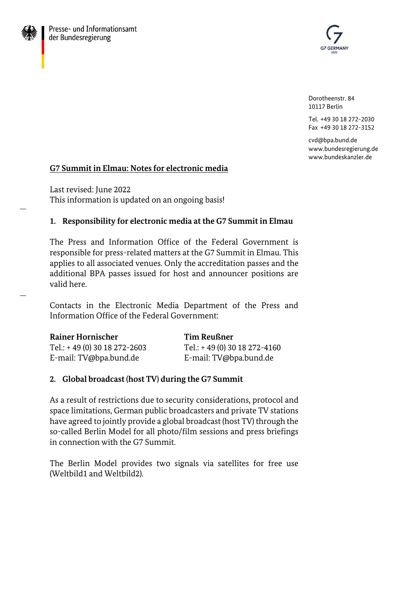

Dorotheenstr. 84 10117 Berlin

Tel. +49 30 18 272-2030 Fax +49 30 18 272-3152

cvd@bpa.bund.de [www.bundesregierung.de](http://www.bundesregierung.de/) www.bundeskanzler.de

## **G7 Summit in Elmau: Notes for electronic media**

Last revised: June 2022 This information is updated on an ongoing basis!

## **1. Responsibility for electronic media at the G7 Summit in Elmau**

The Press and Information Office of the Federal Government is responsible for press-related matters at the G7 Summit in Elmau. This applies to all associated venues. Only the accreditation passes and the additional BPA passes issued for host and announcer positions are valid here.

Contacts in the Electronic Media Department of the Press and Information Office of the Federal Government:

| <b>Rainer Hornischer</b>   | Tim Reußner                  |
|----------------------------|------------------------------|
| Tel.: $+49(0)3018272-2603$ | Tel.: +49 (0) 30 18 272-4160 |
| E-mail: TV@bpa.bund.de     | E-mail: TV@bpa.bund.de       |

### **2. Global broadcast (host TV) during the G7 Summit**

As a result of restrictions due to security considerations, protocol and space limitations, German public broadcasters and private TV stations have agreed to jointly provide a global broadcast (host TV) through the so-called Berlin Model for all photo/film sessions and press briefings in connection with the G7 Summit.

The Berlin Model provides two signals via satellites for free use (Weltbild1 and Weltbild2).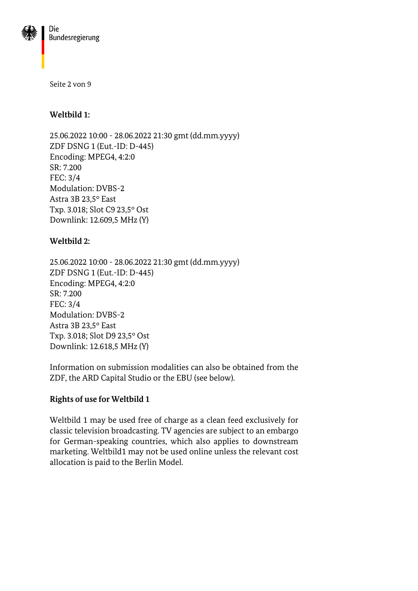

Die Bundesregierung

Seite 2 von 9

#### **Weltbild 1:**

25.06.2022 10:00 - 28.06.2022 21:30 gmt (dd.mm.yyyy) ZDF DSNG 1 (Eut.-ID: D-445) Encoding: MPEG4, 4:2:0 SR: 7.200 FEC: 3/4 Modulation: DVBS-2 Astra 3B 23,5° East Txp. 3.018; Slot C9 23,5° Ost Downlink: 12.609,5 MHz (Y)

#### **Weltbild 2:**

25.06.2022 10:00 - 28.06.2022 21:30 gmt (dd.mm.yyyy) ZDF DSNG 1 (Eut.-ID: D-445) Encoding: MPEG4, 4:2:0 SR: 7.200 FEC: 3/4 Modulation: DVBS-2 Astra 3B 23,5° East Txp. 3.018; Slot D9 23,5° Ost Downlink: 12.618,5 MHz (Y)

Information on submission modalities can also be obtained from the ZDF, the ARD Capital Studio or the EBU (see below).

### **Rights of use for Weltbild 1**

Weltbild 1 may be used free of charge as a clean feed exclusively for classic television broadcasting. TV agencies are subject to an embargo for German-speaking countries, which also applies to downstream marketing. Weltbild1 may not be used online unless the relevant cost allocation is paid to the Berlin Model.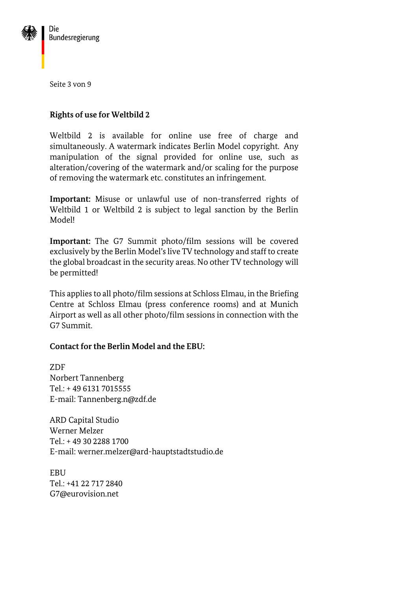

Seite 3 von 9

## **Rights of use for Weltbild 2**

Weltbild 2 is available for online use free of charge and simultaneously. A watermark indicates Berlin Model copyright. Any manipulation of the signal provided for online use, such as alteration/covering of the watermark and/or scaling for the purpose of removing the watermark etc. constitutes an infringement.

**Important:** Misuse or unlawful use of non-transferred rights of Weltbild 1 or Weltbild 2 is subject to legal sanction by the Berlin Model!

**Important:** The G7 Summit photo/film sessions will be covered exclusively by the Berlin Model's live TV technology and staff to create the global broadcast in the security areas. No other TV technology will be permitted!

This applies to all photo/film sessions at Schloss Elmau, in the Briefing Centre at Schloss Elmau (press conference rooms) and at Munich Airport as well as all other photo/film sessions in connection with the G7 Summit.

### **Contact for the Berlin Model and the EBU:**

ZDF Norbert Tannenberg Tel.: + 49 6131 7015555 E-mail[: Tannenberg.n@zdf.de](mailto:Tannenberg.n@zdf.de)

ARD Capital Studio Werner Melzer Tel.: + 49 30 2288 1700 E-mail[: werner.melzer@ard-hauptstadtstudio.de](mailto:werner.melzer@ard-hauptstadtstudio.de)

EBU Tel.: +41 22 717 2840 [G7@eurovision.net](mailto:G7@eurovision.net)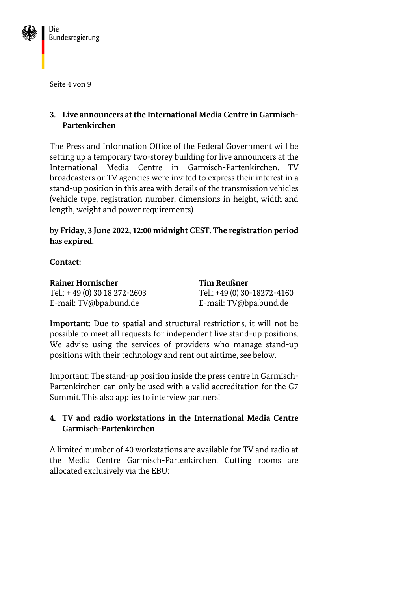

Seite 4 von 9

# **3. Live announcers at the International Media Centre in Garmisch-Partenkirchen**

The Press and Information Office of the Federal Government will be setting up a temporary two-storey building for live announcers at the International Media Centre in Garmisch-Partenkirchen. TV broadcasters or TV agencies were invited to express their interest in a stand-up position in this area with details of the transmission vehicles (vehicle type, registration number, dimensions in height, width and length, weight and power requirements)

# by **Friday, 3 June 2022, 12:00 midnight CEST. The registration period has expired.**

**Contact:**

| <b>Rainer Hornischer</b>   | Tim Reußner                 |
|----------------------------|-----------------------------|
| Tel.: $+49(0)3018272-2603$ | Tel.: +49 (0) 30-18272-4160 |
| E-mail: TV@bpa.bund.de     | E-mail: TV@bpa.bund.de      |

**Important:** Due to spatial and structural restrictions, it will not be possible to meet all requests for independent live stand-up positions. We advise using the services of providers who manage stand-up positions with their technology and rent out airtime, see below.

Important: The stand-up position inside the press centre in Garmisch-Partenkirchen can only be used with a valid accreditation for the G7 Summit. This also applies to interview partners!

# **4. TV and radio workstations in the International Media Centre Garmisch-Partenkirchen**

A limited number of 40 workstations are available for TV and radio at the Media Centre Garmisch-Partenkirchen. Cutting rooms are allocated exclusively via the EBU: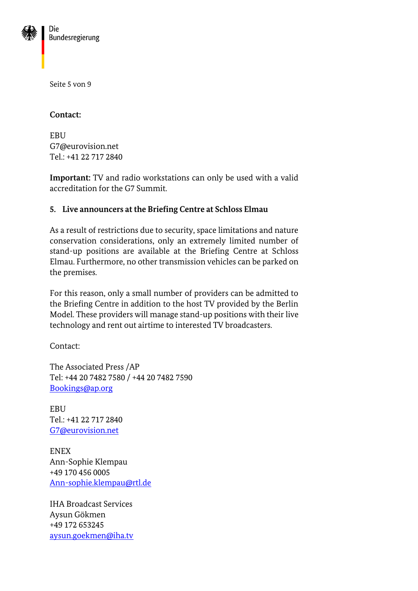

Die Bundesregierung

Seite 5 von 9

#### **Contact:**

**EBU** [G7@eurovision.net](mailto:G7@eurovision.net) Tel.: +41 22 717 2840

**Important:** TV and radio workstations can only be used with a valid accreditation for the G7 Summit.

### **5. Live announcers at the Briefing Centre at Schloss Elmau**

As a result of restrictions due to security, space limitations and nature conservation considerations, only an extremely limited number of stand-up positions are available at the Briefing Centre at Schloss Elmau. Furthermore, no other transmission vehicles can be parked on the premises.

For this reason, only a small number of providers can be admitted to the Briefing Centre in addition to the host TV provided by the Berlin Model. These providers will manage stand-up positions with their live technology and rent out airtime to interested TV broadcasters.

Contact:

The Associated Press /AP Tel: +44 20 7482 7580 / +44 20 7482 7590 [Bookings@ap.org](mailto:Bookings@ap.org)

EBU Tel.: +41 22 717 2840 [G7@eurovision.net](mailto:G7@eurovision.net)

ENEX Ann-Sophie Klempau +49 170 456 0005 [Ann-sophie.klempau@rtl.de](mailto:Ann-sophie.klempau@rtl.de)

IHA Broadcast Services Aysun Gökmen +49 172 653245 [aysun.goekmen@iha.tv](mailto:aysun.goekmen@iha.tv)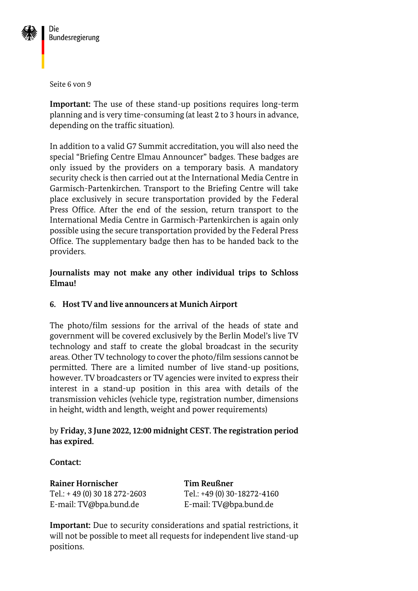

Seite 6 von 9

**Important:** The use of these stand-up positions requires long-term planning and is very time-consuming (at least 2 to 3 hours in advance, depending on the traffic situation).

In addition to a valid G7 Summit accreditation, you will also need the special "Briefing Centre Elmau Announcer" badges. These badges are only issued by the providers on a temporary basis. A mandatory security check is then carried out at the International Media Centre in Garmisch-Partenkirchen. Transport to the Briefing Centre will take place exclusively in secure transportation provided by the Federal Press Office. After the end of the session, return transport to the International Media Centre in Garmisch-Partenkirchen is again only possible using the secure transportation provided by the Federal Press Office. The supplementary badge then has to be handed back to the providers.

## **Journalists may not make any other individual trips to Schloss Elmau!**

## **6. Host TV and live announcers at Munich Airport**

The photo/film sessions for the arrival of the heads of state and government will be covered exclusively by the Berlin Model's live TV technology and staff to create the global broadcast in the security areas. Other TV technology to cover the photo/film sessions cannot be permitted. There are a limited number of live stand-up positions, however. TV broadcasters or TV agencies were invited to express their interest in a stand-up position in this area with details of the transmission vehicles (vehicle type, registration number, dimensions in height, width and length, weight and power requirements)

## by **Friday, 3 June 2022, 12:00 midnight CEST. The registration period has expired.**

### **Contact:**

**Rainer Hornischer Tim Reußner** Tel.: + 49 (0) 30 18 272-2603 Tel.: +49 (0) 30-18272-4160 E-mail[: TV@bpa.bund.de](mailto:TV@bpa.bund.de) E-mail: [TV@bpa.bund.de](mailto:TV@bpa.bund.de)

**Important:** Due to security considerations and spatial restrictions, it will not be possible to meet all requests for independent live stand-up positions.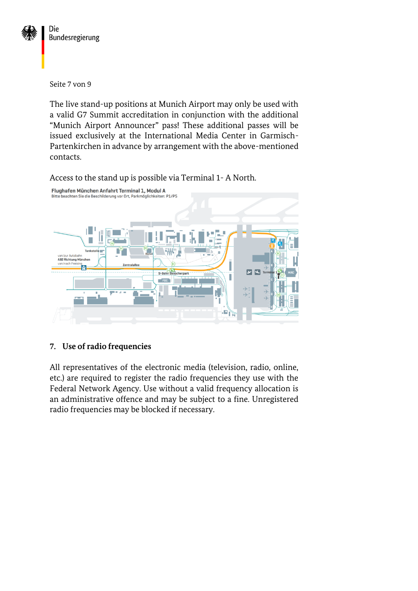

Seite 7 von 9

The live stand-up positions at Munich Airport may only be used with a valid G7 Summit accreditation in conjunction with the additional "Munich Airport Announcer" pass! These additional passes will be issued exclusively at the International Media Center in Garmisch-Partenkirchen in advance by arrangement with the above-mentioned contacts.

Access to the stand up is possible via Terminal 1- A North.



## **7. Use of radio frequencies**

All representatives of the electronic media (television, radio, online, etc.) are required to register the radio frequencies they use with the Federal Network Agency. Use without a valid frequency allocation is an administrative offence and may be subject to a fine. Unregistered radio frequencies may be blocked if necessary.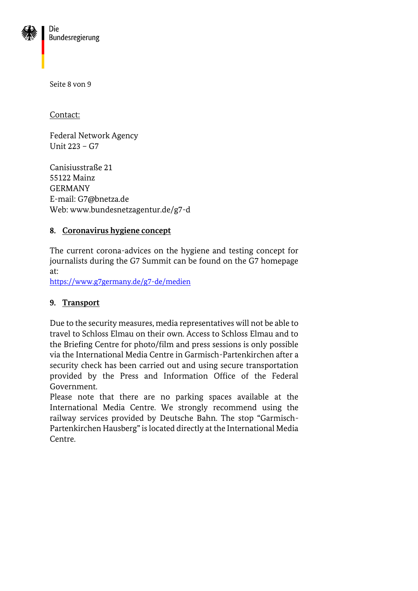

Die Bundesregierung

Seite 8 von 9

Contact:

Federal Network Agency Unit 223 – G7

Canisiusstraße 21 55122 Mainz GERMANY E-mail: G7@bnetza.de Web: www.bundesnetzagentur.de/g7-d

## **8. Coronavirus hygiene concept**

The current corona-advices on the hygiene and testing concept for journalists during the G7 Summit can be found on the G7 homepage at:

<https://www.g7germany.de/g7-de/medien>

### **9. Transport**

Due to the security measures, media representatives will not be able to travel to Schloss Elmau on their own. Access to Schloss Elmau and to the Briefing Centre for photo/film and press sessions is only possible via the International Media Centre in Garmisch-Partenkirchen after a security check has been carried out and using secure transportation provided by the Press and Information Office of the Federal Government.

Please note that there are no parking spaces available at the International Media Centre. We strongly recommend using the railway services provided by Deutsche Bahn. The stop "Garmisch-Partenkirchen Hausberg" is located directly at the International Media Centre.